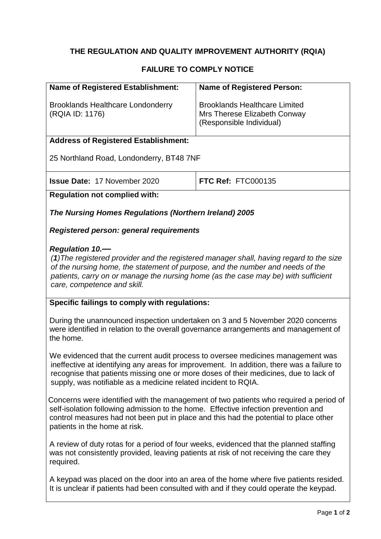# **THE REGULATION AND QUALITY IMPROVEMENT AUTHORITY (RQIA)**

### **FAILURE TO COMPLY NOTICE**

| <b>Name of Registered Establishment:</b>                                                                                                                                                                                                                                                                                 | <b>Name of Registered Person:</b>                                                                |  |
|--------------------------------------------------------------------------------------------------------------------------------------------------------------------------------------------------------------------------------------------------------------------------------------------------------------------------|--------------------------------------------------------------------------------------------------|--|
| <b>Brooklands Healthcare Londonderry</b><br>(RQIA ID: 1176)                                                                                                                                                                                                                                                              | <b>Brooklands Healthcare Limited</b><br>Mrs Therese Elizabeth Conway<br>(Responsible Individual) |  |
| <b>Address of Registered Establishment:</b>                                                                                                                                                                                                                                                                              |                                                                                                  |  |
| 25 Northland Road, Londonderry, BT48 7NF                                                                                                                                                                                                                                                                                 |                                                                                                  |  |
| <b>Issue Date: 17 November 2020</b>                                                                                                                                                                                                                                                                                      | <b>FTC Ref: FTC000135</b>                                                                        |  |
| <b>Regulation not complied with:</b>                                                                                                                                                                                                                                                                                     |                                                                                                  |  |
| The Nursing Homes Regulations (Northern Ireland) 2005                                                                                                                                                                                                                                                                    |                                                                                                  |  |
| Registered person: general requirements                                                                                                                                                                                                                                                                                  |                                                                                                  |  |
| <b>Regulation 10.-</b><br>(1) The registered provider and the registered manager shall, having regard to the size<br>of the nursing home, the statement of purpose, and the number and needs of the<br>patients, carry on or manage the nursing home (as the case may be) with sufficient<br>care, competence and skill. |                                                                                                  |  |
| Specific failings to comply with regulations:                                                                                                                                                                                                                                                                            |                                                                                                  |  |
| During the unannounced inspection undertaken on 3 and 5 November 2020 concerns<br>were identified in relation to the overall governance arrangements and management of<br>the home.                                                                                                                                      |                                                                                                  |  |
| We evidenced that the current audit process to oversee medicines management was<br>recognise that patients missing one or more doses of their medicines, due to lack of<br>supply, was notifiable as a medicine related incident to RQIA.                                                                                | ineffective at identifying any areas for improvement. In addition, there was a failure to        |  |
| Concerns were identified with the management of two patients who required a period of<br>colf isolation following admission to the home. Effective infection provention and                                                                                                                                              |                                                                                                  |  |

self-isolation following admission to the home. Effective infection prevention and control measures had not been put in place and this had the potential to place other patients in the home at risk.

A review of duty rotas for a period of four weeks, evidenced that the planned staffing was not consistently provided, leaving patients at risk of not receiving the care they required.

A keypad was placed on the door into an area of the home where five patients resided. It is unclear if patients had been consulted with and if they could operate the keypad.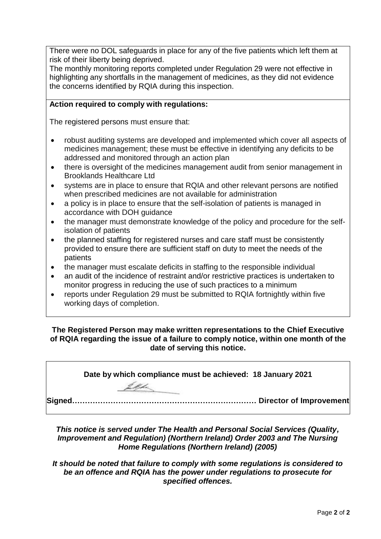There were no DOL safeguards in place for any of the five patients which left them at risk of their liberty being deprived.

The monthly monitoring reports completed under Regulation 29 were not effective in highlighting any shortfalls in the management of medicines, as they did not evidence the concerns identified by RQIA during this inspection.

### **Action required to comply with regulations:**

The registered persons must ensure that:

- robust auditing systems are developed and implemented which cover all aspects of medicines management; these must be effective in identifying any deficits to be addressed and monitored through an action plan
- there is oversight of the medicines management audit from senior management in Brooklands Healthcare Ltd
- systems are in place to ensure that RQIA and other relevant persons are notified when prescribed medicines are not available for administration
- a policy is in place to ensure that the self-isolation of patients is managed in accordance with DOH guidance
- the manager must demonstrate knowledge of the policy and procedure for the selfisolation of patients
- the planned staffing for registered nurses and care staff must be consistently provided to ensure there are sufficient staff on duty to meet the needs of the patients
- the manager must escalate deficits in staffing to the responsible individual
- an audit of the incidence of restraint and/or restrictive practices is undertaken to monitor progress in reducing the use of such practices to a minimum
- reports under Regulation 29 must be submitted to RQIA fortnightly within five working days of completion.

**The Registered Person may make written representations to the Chief Executive of RQIA regarding the issue of a failure to comply notice, within one month of the date of serving this notice.**

**Date by which compliance must be achieved: 18 January 2021 Signed……………………………………………………………… Director of Improvement**

*This notice is served under The Health and Personal Social Services (Quality, Improvement and Regulation) (Northern Ireland) Order 2003 and The Nursing Home Regulations (Northern Ireland) (2005)*

*It should be noted that failure to comply with some regulations is considered to be an offence and RQIA has the power under regulations to prosecute for specified offences.*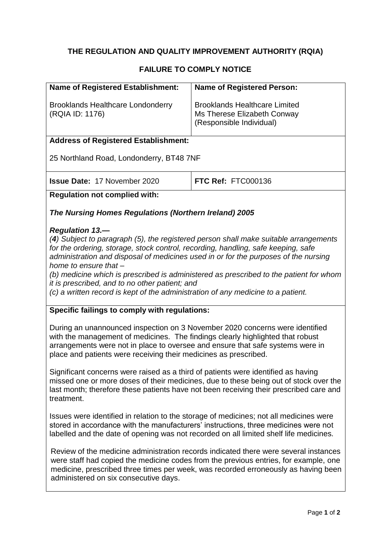# **THE REGULATION AND QUALITY IMPROVEMENT AUTHORITY (RQIA)**

## **FAILURE TO COMPLY NOTICE**

| <b>Name of Registered Establishment:</b>                                                                                                                                                                                                                                                                                                                                                                                                                                                                                                            | <b>Name of Registered Person:</b>                                                               |  |
|-----------------------------------------------------------------------------------------------------------------------------------------------------------------------------------------------------------------------------------------------------------------------------------------------------------------------------------------------------------------------------------------------------------------------------------------------------------------------------------------------------------------------------------------------------|-------------------------------------------------------------------------------------------------|--|
| <b>Brooklands Healthcare Londonderry</b><br>(RQIA ID: 1176)                                                                                                                                                                                                                                                                                                                                                                                                                                                                                         | <b>Brooklands Healthcare Limited</b><br>Ms Therese Elizabeth Conway<br>(Responsible Individual) |  |
| <b>Address of Registered Establishment:</b>                                                                                                                                                                                                                                                                                                                                                                                                                                                                                                         |                                                                                                 |  |
| 25 Northland Road, Londonderry, BT48 7NF                                                                                                                                                                                                                                                                                                                                                                                                                                                                                                            |                                                                                                 |  |
| <b>Issue Date: 17 November 2020</b>                                                                                                                                                                                                                                                                                                                                                                                                                                                                                                                 | FTC Ref: FTC000136                                                                              |  |
| <b>Regulation not complied with:</b>                                                                                                                                                                                                                                                                                                                                                                                                                                                                                                                |                                                                                                 |  |
| The Nursing Homes Regulations (Northern Ireland) 2005                                                                                                                                                                                                                                                                                                                                                                                                                                                                                               |                                                                                                 |  |
| <b>Regulation 13.-</b><br>(4) Subject to paragraph (5), the registered person shall make suitable arrangements<br>for the ordering, storage, stock control, recording, handling, safe keeping, safe<br>administration and disposal of medicines used in or for the purposes of the nursing<br>home to ensure that -<br>(b) medicine which is prescribed is administered as prescribed to the patient for whom<br>it is prescribed, and to no other patient; and<br>(c) a written record is kept of the administration of any medicine to a patient. |                                                                                                 |  |
| Specific failings to comply with regulations:                                                                                                                                                                                                                                                                                                                                                                                                                                                                                                       |                                                                                                 |  |
| During an unannounced inspection on 3 November 2020 concerns were identified<br>with the management of medicines. The findings clearly highlighted that robust<br>arrangements were not in place to oversee and ensure that safe systems were in<br>place and patients were receiving their medicines as prescribed.                                                                                                                                                                                                                                |                                                                                                 |  |

Significant concerns were raised as a third of patients were identified as having missed one or more doses of their medicines, due to these being out of stock over the last month; therefore these patients have not been receiving their prescribed care and treatment.

Issues were identified in relation to the storage of medicines; not all medicines were stored in accordance with the manufacturers' instructions, three medicines were not labelled and the date of opening was not recorded on all limited shelf life medicines.

Review of the medicine administration records indicated there were several instances were staff had copied the medicine codes from the previous entries, for example, one medicine, prescribed three times per week, was recorded erroneously as having been administered on six consecutive days.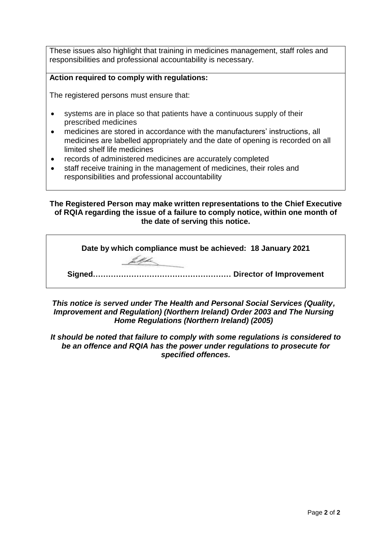These issues also highlight that training in medicines management, staff roles and responsibilities and professional accountability is necessary.

#### **Action required to comply with regulations:**

The registered persons must ensure that:

- systems are in place so that patients have a continuous supply of their prescribed medicines
- medicines are stored in accordance with the manufacturers' instructions, all medicines are labelled appropriately and the date of opening is recorded on all limited shelf life medicines
- records of administered medicines are accurately completed
- staff receive training in the management of medicines, their roles and responsibilities and professional accountability

**The Registered Person may make written representations to the Chief Executive of RQIA regarding the issue of a failure to comply notice, within one month of the date of serving this notice.**

| Date by which compliance must be achieved: 18 January 2021 |
|------------------------------------------------------------|
|                                                            |
|                                                            |
|                                                            |

*This notice is served under The Health and Personal Social Services (Quality, Improvement and Regulation) (Northern Ireland) Order 2003 and The Nursing Home Regulations (Northern Ireland) (2005)*

*It should be noted that failure to comply with some regulations is considered to be an offence and RQIA has the power under regulations to prosecute for specified offences.*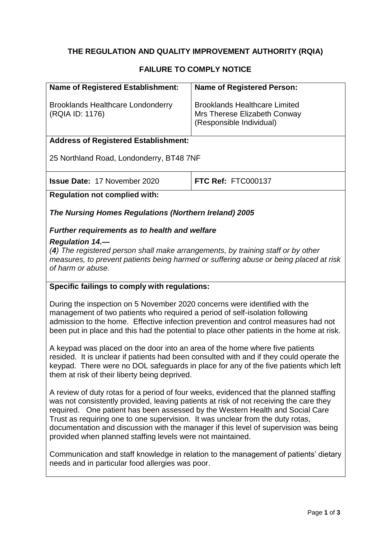# **THE REGULATION AND QUALITY IMPROVEMENT AUTHORITY (RQIA)**

# **FAILURE TO COMPLY NOTICE**

| <b>Name of Registered Establishment:</b>                                                                                                                                                                                                                                                                                                      | <b>Name of Registered Person:</b>                                                                                                                                              |  |
|-----------------------------------------------------------------------------------------------------------------------------------------------------------------------------------------------------------------------------------------------------------------------------------------------------------------------------------------------|--------------------------------------------------------------------------------------------------------------------------------------------------------------------------------|--|
| <b>Brooklands Healthcare Londonderry</b><br>(RQIA ID: 1176)                                                                                                                                                                                                                                                                                   | <b>Brooklands Healthcare Limited</b><br>Mrs Therese Elizabeth Conway<br>(Responsible Individual)                                                                               |  |
| <b>Address of Registered Establishment:</b>                                                                                                                                                                                                                                                                                                   |                                                                                                                                                                                |  |
| 25 Northland Road, Londonderry, BT48 7NF                                                                                                                                                                                                                                                                                                      |                                                                                                                                                                                |  |
| <b>Issue Date: 17 November 2020</b>                                                                                                                                                                                                                                                                                                           | <b>FTC Ref: FTC000137</b>                                                                                                                                                      |  |
| <b>Regulation not complied with:</b>                                                                                                                                                                                                                                                                                                          |                                                                                                                                                                                |  |
| The Nursing Homes Regulations (Northern Ireland) 2005                                                                                                                                                                                                                                                                                         |                                                                                                                                                                                |  |
| <b>Further requirements as to health and welfare</b>                                                                                                                                                                                                                                                                                          |                                                                                                                                                                                |  |
| <b>Regulation 14.—</b><br>(4) The registered person shall make arrangements, by training staff or by other<br>measures, to prevent patients being harmed or suffering abuse or being placed at risk<br>of harm or abuse.                                                                                                                      |                                                                                                                                                                                |  |
| Specific failings to comply with regulations:                                                                                                                                                                                                                                                                                                 |                                                                                                                                                                                |  |
| During the inspection on 5 November 2020 concerns were identified with the<br>management of two patients who required a period of self-isolation following<br>admission to the home. Effective infection prevention and control measures had not<br>been put in place and this had the potential to place other patients in the home at risk. |                                                                                                                                                                                |  |
| A keypad was placed on the door into an area of the home where five patients<br>resided. It is unclear if patients had been consulted with and if they could operate the<br>keypad. There were no DOL safeguards in place for any of the five patients which left<br>them at risk of their liberty being deprived.                            |                                                                                                                                                                                |  |
| was not consistently provided, leaving patients at risk of not receiving the care they<br>required. One patient has been assessed by the Western Health and Social Care<br>Trust as requiring one to one supervision. It was unclear from the duty rotas,<br>provided when planned staffing levels were not maintained.                       | A review of duty rotas for a period of four weeks, evidenced that the planned staffing<br>documentation and discussion with the manager if this level of supervision was being |  |

Communication and staff knowledge in relation to the management of patients' dietary needs and in particular food allergies was poor.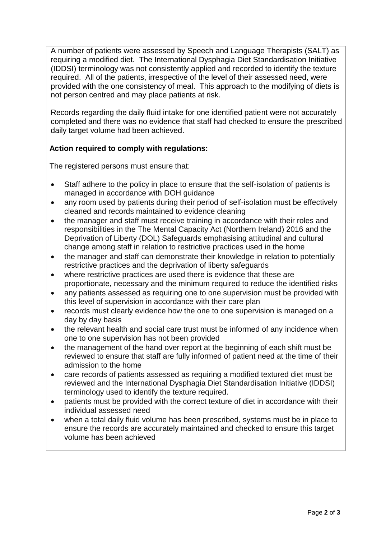A number of patients were assessed by Speech and Language Therapists (SALT) as requiring a modified diet. The International Dysphagia Diet Standardisation Initiative (IDDSI) terminology was not consistently applied and recorded to identify the texture required. All of the patients, irrespective of the level of their assessed need, were provided with the one consistency of meal. This approach to the modifying of diets is not person centred and may place patients at risk.

Records regarding the daily fluid intake for one identified patient were not accurately completed and there was no evidence that staff had checked to ensure the prescribed daily target volume had been achieved.

## **Action required to comply with regulations:**

The registered persons must ensure that:

- Staff adhere to the policy in place to ensure that the self-isolation of patients is managed in accordance with DOH guidance
- any room used by patients during their period of self-isolation must be effectively cleaned and records maintained to evidence cleaning
- the manager and staff must receive training in accordance with their roles and responsibilities in the The Mental Capacity Act (Northern Ireland) 2016 and the Deprivation of Liberty (DOL) Safeguards emphasising attitudinal and cultural change among staff in relation to restrictive practices used in the home
- the manager and staff can demonstrate their knowledge in relation to potentially restrictive practices and the deprivation of liberty safeguards
- where restrictive practices are used there is evidence that these are proportionate, necessary and the minimum required to reduce the identified risks
- any patients assessed as requiring one to one supervision must be provided with this level of supervision in accordance with their care plan
- records must clearly evidence how the one to one supervision is managed on a day by day basis
- the relevant health and social care trust must be informed of any incidence when one to one supervision has not been provided
- the management of the hand over report at the beginning of each shift must be reviewed to ensure that staff are fully informed of patient need at the time of their admission to the home
- care records of patients assessed as requiring a modified textured diet must be reviewed and the International Dysphagia Diet Standardisation Initiative (IDDSI) terminology used to identify the texture required.
- patients must be provided with the correct texture of diet in accordance with their individual assessed need
- when a total daily fluid volume has been prescribed, systems must be in place to ensure the records are accurately maintained and checked to ensure this target volume has been achieved